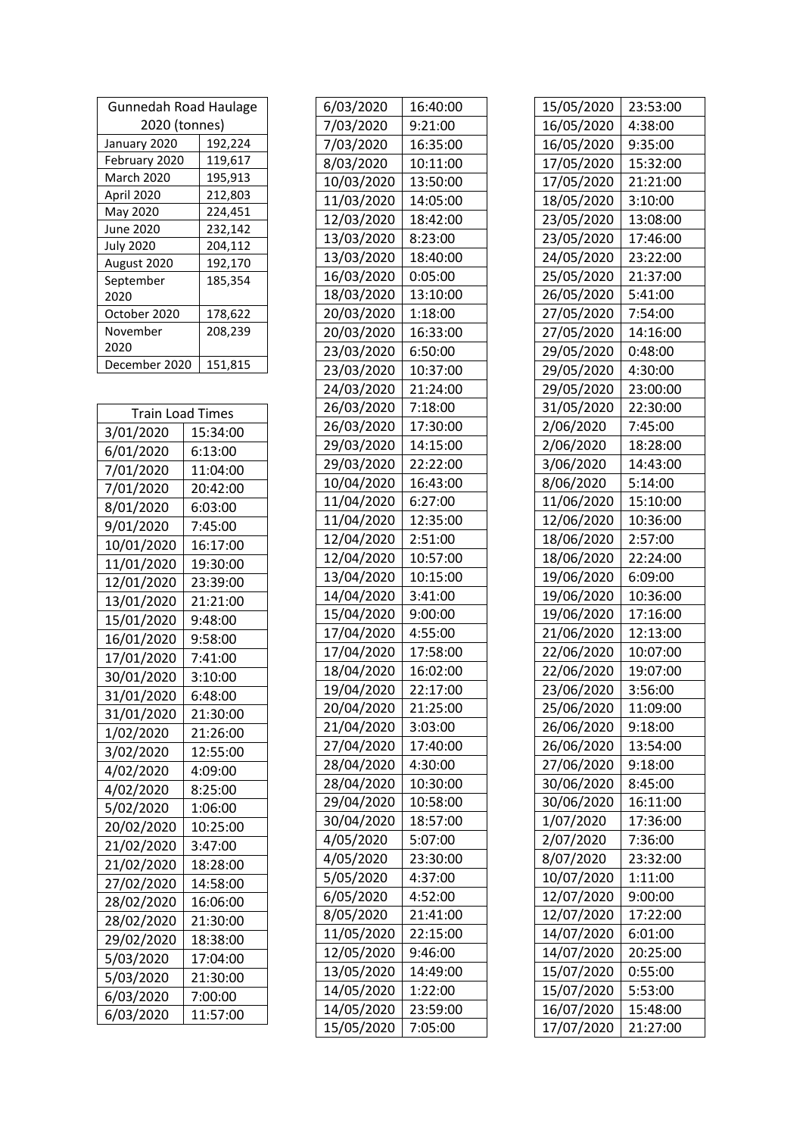| <b>Gunnedah Road Haulage</b> |         |
|------------------------------|---------|
| 2020 (tonnes)                |         |
| January 2020                 | 192,224 |
| February 2020                | 119,617 |
| March 2020                   | 195,913 |
| April 2020                   | 212,803 |
| May 2020                     | 224,451 |
| June 2020                    | 232,142 |
| <b>July 2020</b>             | 204,112 |
| August 2020                  | 192,170 |
| September                    | 185,354 |
| 2020                         |         |
| October 2020                 | 178,622 |
| November                     | 208,239 |
| 2020                         |         |
| December 2020                | 151,815 |

| <b>Train Load Times</b> |          |
|-------------------------|----------|
| 3/01/2020               | 15:34:00 |
| 6/01/2020               | 6:13:00  |
| 7/01/2020               | 11:04:00 |
| 7/01/2020               | 20:42:00 |
| 8/01/2020               | 6:03:00  |
| 9/01/2020               | 7:45:00  |
| 10/01/2020              | 16:17:00 |
| 11/01/2020              | 19:30:00 |
| 12/01/2020              | 23:39:00 |
| 13/01/2020              | 21:21:00 |
| 15/01/2020              | 9:48:00  |
| 16/01/2020              | 9:58:00  |
| 17/01/2020              | 7:41:00  |
| 30/01/2020              | 3:10:00  |
| 31/01/2020              | 6:48:00  |
| 31/01/2020              | 21:30:00 |
| 1/02/2020               | 21:26:00 |
| 3/02/2020               | 12:55:00 |
| 4/02/2020               | 4:09:00  |
| 4/02/2020               | 8:25:00  |
| 5/02/2020               | 1:06:00  |
| 20/02/2020              | 10:25:00 |
| 21/02/2020              | 3:47:00  |
| 21/02/2020              | 18:28:00 |
| 27/02/2020              | 14:58:00 |
| 28/02/2020              | 16:06:00 |
| 28/02/2020              | 21:30:00 |
| 29/02/2020              | 18:38:00 |
| 5/03/2020               | 17:04:00 |
| 5/03/2020               | 21:30:00 |
| 6/03/2020               | 7:00:00  |
| 6/03/2020               | 11:57:00 |

| 6/03/2020  | 16:40:00 |
|------------|----------|
| 7/03/2020  | 9:21:00  |
| 7/03/2020  | 16:35:00 |
| 8/03/2020  | 10:11:00 |
| 10/03/2020 | 13:50:00 |
| 11/03/2020 | 14:05:00 |
| 12/03/2020 | 18:42:00 |
| 13/03/2020 | 8:23:00  |
| 13/03/2020 | 18:40:00 |
| 16/03/2020 | 0:05:00  |
| 18/03/2020 | 13:10:00 |
| 20/03/2020 | 1:18:00  |
| 20/03/2020 | 16:33:00 |
| 23/03/2020 | 6:50:00  |
| 23/03/2020 | 10:37:00 |
| 24/03/2020 | 21:24:00 |
| 26/03/2020 | 7:18:00  |
| 26/03/2020 | 17:30:00 |
| 29/03/2020 | 14:15:00 |
| 29/03/2020 | 22:22:00 |
| 10/04/2020 | 16:43:00 |
| 11/04/2020 | 6:27:00  |
| 11/04/2020 | 12:35:00 |
| 12/04/2020 | 2:51:00  |
| 12/04/2020 | 10:57:00 |
| 13/04/2020 | 10:15:00 |
| 14/04/2020 | 3:41:00  |
| 15/04/2020 | 9:00:00  |
| 17/04/2020 | 4:55:00  |
| 17/04/2020 | 17:58:00 |
| 18/04/2020 | 16:02:00 |
| 19/04/2020 | 22:17:00 |
| 20/04/2020 | 21:25:00 |
| 21/04/2020 | 3:03:00  |
| 27/04/2020 | 17:40:00 |
| 28/04/2020 | 4:30:00  |
| 28/04/2020 | 10:30:00 |
| 29/04/2020 | 10:58:00 |
| 30/04/2020 | 18:57:00 |
| 4/05/2020  | 5:07:00  |
| 4/05/2020  | 23:30:00 |
| 5/05/2020  | 4:37:00  |
| 6/05/2020  | 4:52:00  |
| 8/05/2020  | 21:41:00 |
| 11/05/2020 | 22:15:00 |
| 12/05/2020 | 9:46:00  |
| 13/05/2020 | 14:49:00 |
| 14/05/2020 | 1:22:00  |
| 14/05/2020 | 23:59:00 |
| 15/05/2020 | 7:05:00  |

| 15/05/2020 | 23:53:00 |
|------------|----------|
| 16/05/2020 | 4:38:00  |
| 16/05/2020 | 9:35:00  |
| 17/05/2020 | 15:32:00 |
| 17/05/2020 | 21:21:00 |
| 18/05/2020 | 3:10:00  |
| 23/05/2020 | 13:08:00 |
| 23/05/2020 | 17:46:00 |
| 24/05/2020 | 23:22:00 |
| 25/05/2020 | 21:37:00 |
| 26/05/2020 | 5:41:00  |
| 27/05/2020 | 7:54:00  |
| 27/05/2020 | 14:16:00 |
| 29/05/2020 | 0:48:00  |
| 29/05/2020 | 4:30:00  |
| 29/05/2020 | 23:00:00 |
| 31/05/2020 | 22:30:00 |
| 2/06/2020  | 7:45:00  |
| 2/06/2020  | 18:28:00 |
| 3/06/2020  | 14:43:00 |
| 8/06/2020  | 5:14:00  |
| 11/06/2020 | 15:10:00 |
| 12/06/2020 | 10:36:00 |
| 18/06/2020 | 2:57:00  |
| 18/06/2020 | 22:24:00 |
| 19/06/2020 | 6:09:00  |
| 19/06/2020 | 10:36:00 |
| 19/06/2020 | 17:16:00 |
| 21/06/2020 | 12:13:00 |
| 22/06/2020 | 10:07:00 |
| 22/06/2020 | 19:07:00 |
| 23/06/2020 | 3:56:00  |
| 25/06/2020 | 11:09:00 |
| 26/06/2020 | 9:18:00  |
| 26/06/2020 | 13:54:00 |
| 27/06/2020 | 9:18:00  |
| 30/06/2020 | 8:45:00  |
| 30/06/2020 | 16:11:00 |
| 1/07/2020  | 17:36:00 |
| 2/07/2020  | 7:36:00  |
| 8/07/2020  | 23:32:00 |
| 10/07/2020 | 1:11:00  |
| 12/07/2020 | 9:00:00  |
| 12/07/2020 | 17:22:00 |
| 14/07/2020 | 6:01:00  |
| 14/07/2020 | 20:25:00 |
| 15/07/2020 | 0:55:00  |
| 15/07/2020 | 5:53:00  |
| 16/07/2020 | 15:48:00 |
| 17/07/2020 | 21:27:00 |